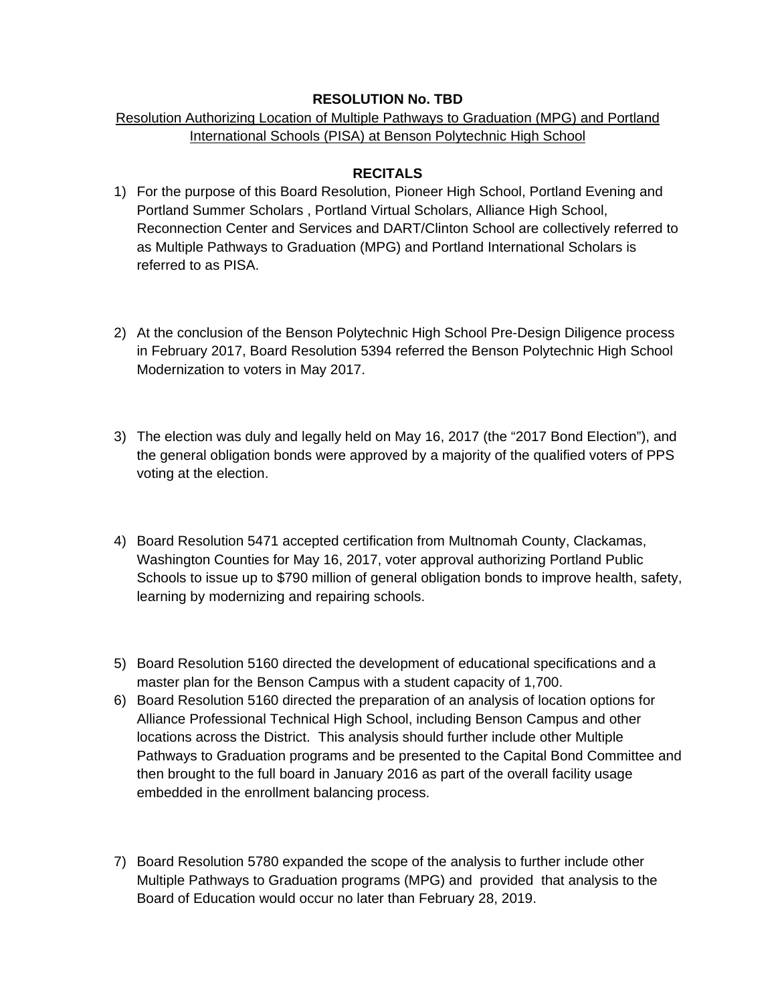## **RESOLUTION No. TBD**

## Resolution Authorizing Location of Multiple Pathways to Graduation (MPG) and Portland International Schools (PISA) at Benson Polytechnic High School

## **RECITALS**

- 1) For the purpose of this Board Resolution, Pioneer High School, Portland Evening and Portland Summer Scholars , Portland Virtual Scholars, Alliance High School, Reconnection Center and Services and DART/Clinton School are collectively referred to as Multiple Pathways to Graduation (MPG) and Portland International Scholars is referred to as PISA.
- 2) At the conclusion of the Benson Polytechnic High School Pre-Design Diligence process in February 2017, Board Resolution 5394 referred the Benson Polytechnic High School Modernization to voters in May 2017.
- 3) The election was duly and legally held on May 16, 2017 (the "2017 Bond Election"), and the general obligation bonds were approved by a majority of the qualified voters of PPS voting at the election.
- 4) Board Resolution 5471 accepted certification from Multnomah County, Clackamas, Washington Counties for May 16, 2017, voter approval authorizing Portland Public Schools to issue up to \$790 million of general obligation bonds to improve health, safety, learning by modernizing and repairing schools.
- 5) Board Resolution 5160 directed the development of educational specifications and a master plan for the Benson Campus with a student capacity of 1,700.
- 6) Board Resolution 5160 directed the preparation of an analysis of location options for Alliance Professional Technical High School, including Benson Campus and other locations across the District. This analysis should further include other Multiple Pathways to Graduation programs and be presented to the Capital Bond Committee and then brought to the full board in January 2016 as part of the overall facility usage embedded in the enrollment balancing process.
- 7) Board Resolution 5780 expanded the scope of the analysis to further include other Multiple Pathways to Graduation programs (MPG) and provided that analysis to the Board of Education would occur no later than February 28, 2019.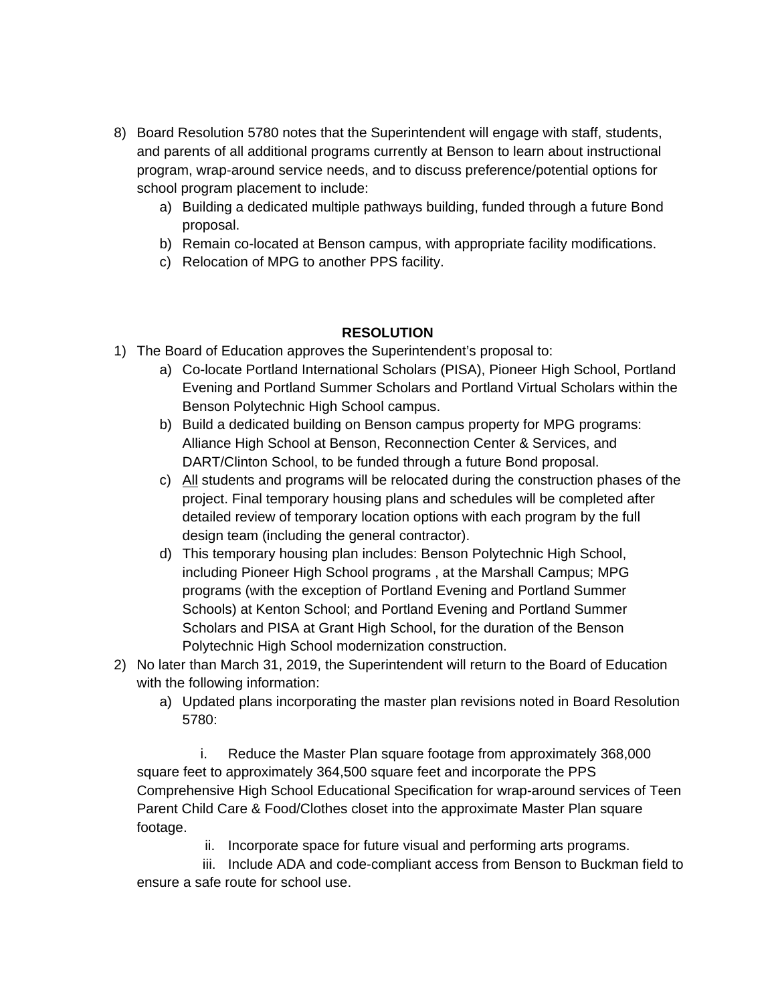- 8) Board Resolution 5780 notes that the Superintendent will engage with staff, students, and parents of all additional programs currently at Benson to learn about instructional program, wrap-around service needs, and to discuss preference/potential options for school program placement to include:
	- a) Building a dedicated multiple pathways building, funded through a future Bond proposal.
	- b) Remain co-located at Benson campus, with appropriate facility modifications.
	- c) Relocation of MPG to another PPS facility.

## **RESOLUTION**

- 1) The Board of Education approves the Superintendent's proposal to:
	- a) Co-locate Portland International Scholars (PISA), Pioneer High School, Portland Evening and Portland Summer Scholars and Portland Virtual Scholars within the Benson Polytechnic High School campus.
	- b) Build a dedicated building on Benson campus property for MPG programs: Alliance High School at Benson, Reconnection Center & Services, and DART/Clinton School, to be funded through a future Bond proposal.
	- c) All students and programs will be relocated during the construction phases of the project. Final temporary housing plans and schedules will be completed after detailed review of temporary location options with each program by the full design team (including the general contractor).
	- d) This temporary housing plan includes: Benson Polytechnic High School, including Pioneer High School programs , at the Marshall Campus; MPG programs (with the exception of Portland Evening and Portland Summer Schools) at Kenton School; and Portland Evening and Portland Summer Scholars and PISA at Grant High School, for the duration of the Benson Polytechnic High School modernization construction.
- 2) No later than March 31, 2019, the Superintendent will return to the Board of Education with the following information:
	- a) Updated plans incorporating the master plan revisions noted in Board Resolution 5780:

 i. Reduce the Master Plan square footage from approximately 368,000 square feet to approximately 364,500 square feet and incorporate the PPS Comprehensive High School Educational Specification for wrap-around services of Teen Parent Child Care & Food/Clothes closet into the approximate Master Plan square footage.

ii. Incorporate space for future visual and performing arts programs.

 iii. Include ADA and code-compliant access from Benson to Buckman field to ensure a safe route for school use.